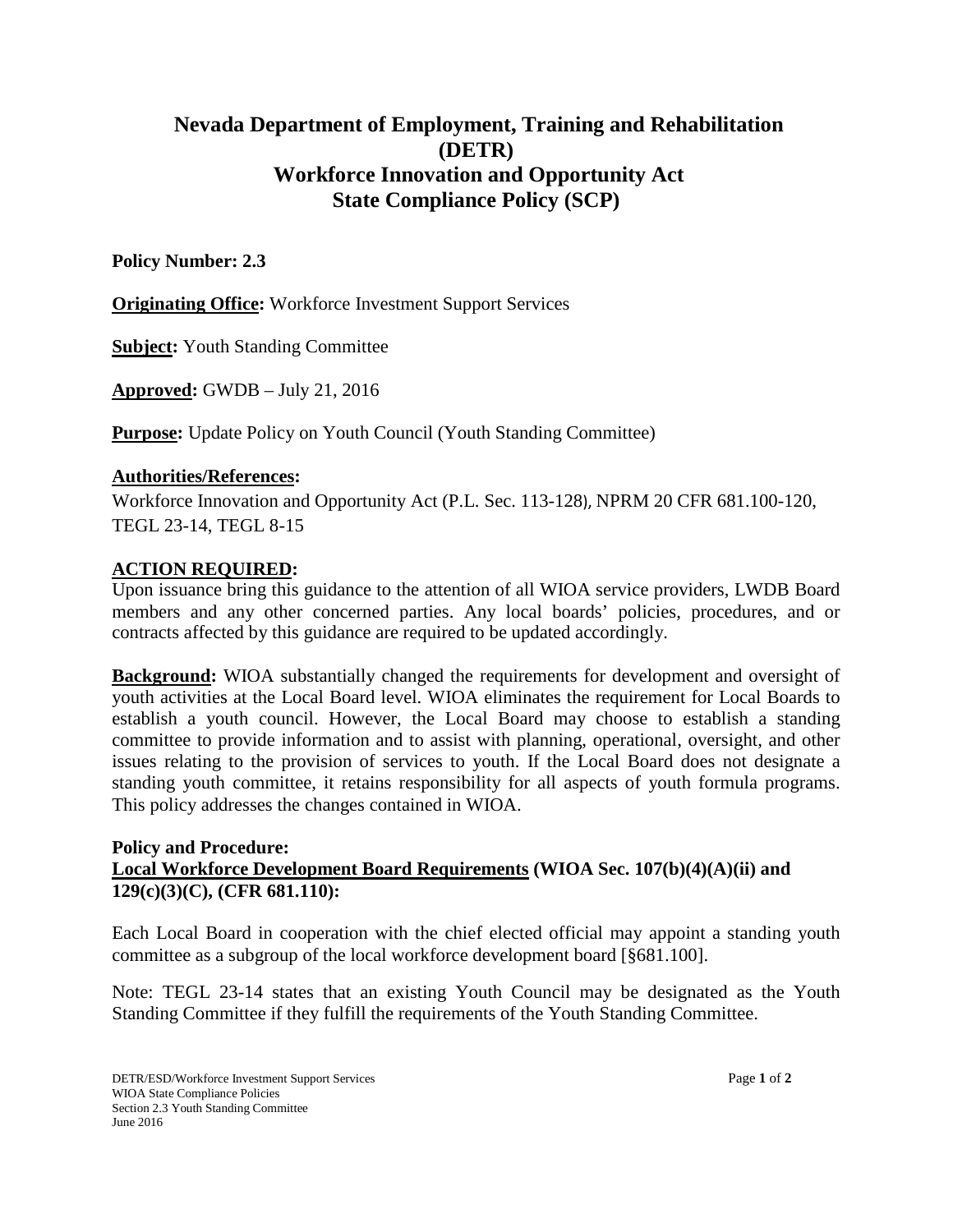# **Nevada Department of Employment, Training and Rehabilitation (DETR) Workforce Innovation and Opportunity Act State Compliance Policy (SCP)**

## **Policy Number: 2.3**

**Originating Office:** Workforce Investment Support Services

**Subject:** Youth Standing Committee

**Approved:** GWDB – July 21, 2016

**Purpose:** Update Policy on Youth Council (Youth Standing Committee)

## **Authorities/References:**

Workforce Innovation and Opportunity Act (P.L. Sec. 113-128), NPRM 20 CFR 681.100-120, TEGL 23-14, TEGL 8-15

## **ACTION REQUIRED:**

Upon issuance bring this guidance to the attention of all WIOA service providers, LWDB Board members and any other concerned parties. Any local boards' policies, procedures, and or contracts affected by this guidance are required to be updated accordingly.

**Background:** WIOA substantially changed the requirements for development and oversight of youth activities at the Local Board level. WIOA eliminates the requirement for Local Boards to establish a youth council. However, the Local Board may choose to establish a standing committee to provide information and to assist with planning, operational, oversight, and other issues relating to the provision of services to youth. If the Local Board does not designate a standing youth committee, it retains responsibility for all aspects of youth formula programs. This policy addresses the changes contained in WIOA.

### **Policy and Procedure: Local Workforce Development Board Requirements (WIOA Sec. 107(b)(4)(A)(ii) and 129(c)(3)(C), (CFR 681.110):**

Each Local Board in cooperation with the chief elected official may appoint a standing youth committee as a subgroup of the local workforce development board [§681.100].

Note: TEGL 23-14 states that an existing Youth Council may be designated as the Youth Standing Committee if they fulfill the requirements of the Youth Standing Committee.